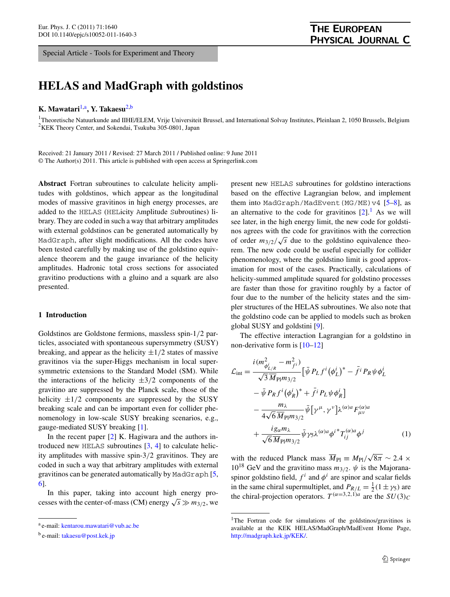<span id="page-0-2"></span><span id="page-0-0"></span>Special Article - Tools for Experiment and Theory

# **HELAS and MadGraph with goldstinos**

# **K. Mawatari**<sup>[1](#page-0-0)[,a](#page-0-1)</sup>, **Y. Takaesu**<sup>[2](#page-0-2)[,b](#page-0-3)</sup>

<sup>1</sup>Theoretische Natuurkunde and IIHE/ELEM, Vrije Universiteit Brussel, and International Solvay Institutes, Pleinlaan 2, 1050 Brussels, Belgium  $2$ KEK Theory Center, and Sokendai, Tsukuba 305-0801, Japan

Received: 21 January 2011 / Revised: 27 March 2011 / Published online: 9 June 2011 © The Author(s) 2011. This article is published with open access at Springerlink.com

**Abstract** Fortran subroutines to calculate helicity amplitudes with goldstinos, which appear as the longitudinal modes of massive gravitinos in high energy processes, are added to the HELAS (HELicity Amplitude Subroutines) library. They are coded in such a way that arbitrary amplitudes with external goldstinos can be generated automatically by MadGraph, after slight modifications. All the codes have been tested carefully by making use of the goldstino equivalence theorem and the gauge invariance of the helicity amplitudes. Hadronic total cross sections for associated gravitino productions with a gluino and a squark are also presented.

### **1 Introduction**

Goldstinos are Goldstone fermions, massless spin-1*/*2 particles, associated with spontaneous supersymmetry (SUSY) breaking, and appear as the helicity  $\pm 1/2$  states of massive gravitinos via the super-Higgs mechanism in local supersymmetric extensions to the Standard Model (SM). While the interactions of the helicity  $\pm 3/2$  components of the gravitino are suppressed by the Planck scale, those of the helicity  $\pm 1/2$  components are suppressed by the SUSY breaking scale and can be important even for collider phenomenology in low-scale SUSY breaking scenarios, e.g., gauge-mediated SUSY breaking [[1](#page-8-0)].

<span id="page-0-1"></span>In the recent paper [[2\]](#page-8-1) K. Hagiwara and the authors introduced new HELAS subroutines  $[3, 4]$  $[3, 4]$  $[3, 4]$  to calculate helicity amplitudes with massive spin-3*/*2 gravitinos. They are coded in such a way that arbitrary amplitudes with external gravitinos can be generated automatically by MadGraph [\[5](#page-8-4), [6\]](#page-8-5).

<span id="page-0-3"></span>In this paper, taking into account high energy processes with the center-of-mass (CM) energy  $\sqrt{s} \gg m_{3/2}$ , we present new HELAS subroutines for goldstino interactions based on the effective Lagrangian below, and implement them into MadGraph/MadEvent (MG/ME)v4  $[5-8]$  $[5-8]$ , as an alternative to the code for gravitinos  $[2]$  $[2]$ .<sup>1</sup> As we will see later, in the high energy limit, the new code for goldstinos agrees with the code for gravitinos with the correction of order  $m_{3/2}/\sqrt{s}$  due to the goldstino equivalence theorem. The new code could be useful especially for collider phenomenology, where the goldstino limit is good approximation for most of the cases. Practically, calculations of helicity-summed amplitude squared for goldstino processes are faster than those for gravitino roughly by a factor of four due to the number of the helicity states and the simpler structures of the HELAS subroutines. We also note that the goldstino code can be applied to models such as broken global SUSY and goldstini [[9\]](#page-9-1).

The effective interaction Lagrangian for a goldstino in non-derivative form is [[10–](#page-9-2)[12\]](#page-9-3)

<span id="page-0-5"></span>
$$
\mathcal{L}_{int} = \frac{i(m_{\phi_{L/R}^{i}}^{2} - m_{f^{i}}^{2})}{\sqrt{3} \, M_{Pl} m_{3/2}} \left[ \bar{\psi} \, P_{L} \, f^{i} \left( \phi_{L}^{i} \right)^{*} - \bar{f}^{i} \, P_{R} \psi \, \phi_{L}^{i} \right] \n- \bar{\psi} \, P_{R} \, f^{i} \left( \phi_{R}^{i} \right)^{*} + \bar{f}^{i} \, P_{L} \psi \, \phi_{R}^{i} \right] \n- \frac{m_{\lambda}}{4 \sqrt{6} \, M_{Pl} m_{3/2}} \bar{\psi} \left[ \gamma^{\mu}, \gamma^{\nu} \right] \lambda^{(\alpha)a} F_{\mu\nu}^{(\alpha)a} \n+ \frac{i g_{\alpha} m_{\lambda}}{\sqrt{6} \, M_{Pl} m_{3/2}} \bar{\psi} \gamma_{5} \lambda^{(\alpha)a} \phi^{i*} T_{ij}^{(\alpha)a} \phi^{j}
$$
\n(1)

<span id="page-0-4"></span>with the reduced Planck mass  $\overline{M}_{\text{Pl}} \equiv M_{\text{Pl}}/\sqrt{8\pi} \sim 2.4 \times$  $10^{18}$  GeV and the gravitino mass  $m_{3/2}$ .  $\psi$  is the Majoranaspinor goldstino field,  $f^i$  and  $\phi^i$  are spinor and scalar fields in the same chiral supermultiplet, and  $P_{R/L} = \frac{1}{2}(1 \pm \gamma_5)$  are the chiral-projection operators.  $T^{(\alpha=3,2,1)a}$  are the  $SU(3)_C$ 

<sup>a</sup> e-mail: [kentarou.mawatari@vub.ac.be](mailto:kentarou.mawatari@vub.ac.be)

<sup>b</sup> e-mail: [takaesu@post.kek.jp](mailto:takaesu@post.kek.jp)

<sup>&</sup>lt;sup>1</sup>The Fortran code for simulations of the goldstinos/gravitinos is available at the KEK HELAS/MadGraph/MadEvent Home Page, <http://madgraph.kek.jp/KEK/>.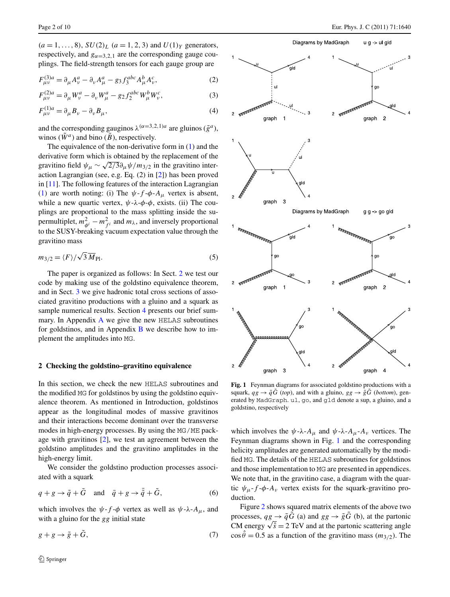$(a = 1, \ldots, 8)$ ,  $SU(2)_L$   $(a = 1, 2, 3)$  and  $U(1)_Y$  generators, respectively, and  $g_{\alpha=3,2,1}$  are the corresponding gauge couplings. The field-strength tensors for each gauge group are

$$
F_{\mu\nu}^{(3)a} = \partial_{\mu}A_{\nu}^{a} - \partial_{\nu}A_{\mu}^{a} - g_{3}f_{3}^{abc}A_{\mu}^{b}A_{\nu}^{c},
$$
 (2)

$$
F_{\mu\nu}^{(2)a} = \partial_{\mu} W_{\nu}^{a} - \partial_{\nu} W_{\mu}^{a} - g_2 f_2^{abc} W_{\mu}^{b} W_{\nu}^{c},
$$
 (3)

$$
F^{(1)a}_{\mu\nu} = \partial_{\mu}B_{\nu} - \partial_{\nu}B_{\mu},\tag{4}
$$

and the corresponding gauginos  $\lambda^{(\alpha=3,2,1)a}$  are gluinos ( $\tilde{g}^a$ ), winos ( $\tilde{W}^a$ ) and bino ( $\tilde{B}$ ), respectively.

The equivalence of the non-derivative form in [\(1](#page-0-5)) and the derivative form which is obtained by the replacement of the gravitino field  $\psi_{\mu} \sim \sqrt{2/3} \partial_{\mu} \psi / m_{3/2}$  in the gravitino interaction Lagrangian (see, e.g. Eq. (2) in [\[2](#page-8-1)]) has been proved in [\[11](#page-9-4)]. The following features of the interaction Lagrangian [\(1](#page-0-5)) are worth noting: (i) The  $\psi$ - $f$ - $\phi$ - $A_{\mu}$  vertex is absent, while a new quartic vertex, *ψ*-*λ*-*φ*-*φ*, exists. (ii) The couplings are proportional to the mass splitting inside the supermultiplet,  $m_{\phi^i}^2 - m_{f^i}^2$  and  $m_\lambda$ , and inversely proportional to the SUSY-breaking vacuum expectation value through the gravitino mass

$$
m_{3/2} = \langle F \rangle / \sqrt{3} \, \overline{M}_{\text{Pl}}.\tag{5}
$$

<span id="page-1-0"></span>The paper is organized as follows: In Sect. [2](#page-1-0) we test our code by making use of the goldstino equivalence theorem, and in Sect. [3](#page-2-0) we give hadronic total cross sections of associated gravitino productions with a gluino and a squark as sample numerical results. Section [4](#page-4-0) presents our brief sum-mary. In [A](#page-4-1)ppendix  $\overline{A}$  we give the new HELAS subroutines for goldstinos, and in Appendix  $\bf{B}$  $\bf{B}$  $\bf{B}$  we describe how to implement the amplitudes into MG.

## **2 Checking the goldstino–gravitino equivalence**

In this section, we check the new HELAS subroutines and the modified MG for goldstinos by using the goldstino equivalence theorem. As mentioned in Introduction, goldstinos appear as the longitudinal modes of massive gravitinos and their interactions become dominant over the transverse modes in high-energy processes. By using the MG/ME package with gravitinos [[2\]](#page-8-1), we test an agreement between the goldstino amplitudes and the gravitino amplitudes in the high-energy limit.

We consider the goldstino production processes associated with a squark

$$
q + g \to \tilde{q} + \tilde{G} \quad \text{and} \quad \bar{q} + g \to \tilde{\bar{q}} + \tilde{G}, \tag{6}
$$

which involves the  $\psi$ - $f$ - $\phi$  vertex as well as  $\psi$ - $\lambda$ - $A_\mu$ , and with a gluino for the *gg* initial state

$$
g + g \to \tilde{g} + \tilde{G},\tag{7}
$$



<span id="page-1-1"></span>**Fig. 1** Feynman diagrams for associated goldstino productions with a squark,  $qg \rightarrow \tilde{q}\tilde{G}$  (*top*), and with a gluino,  $gg \rightarrow \tilde{g}\tilde{G}$  (*bottom*), generated by MadGraph. ul, go, and gld denote a sup, a gluino, and a goldstino, respectively

which involves the  $\psi$ - $\lambda$ - $A_\mu$  and  $\psi$ - $\lambda$ - $A_\mu$ - $A_\nu$  vertices. The Feynman diagrams shown in Fig. [1](#page-1-1) and the corresponding helicity amplitudes are generated automatically by the modified MG. The details of the HELAS subroutines for goldstinos and those implementation to MG are presented in appendices. We note that, in the gravitino case, a diagram with the quartic  $\psi_{\mu}$ - $f$ - $\phi$ - $A_{\nu}$  vertex exists for the squark-gravitino production

Figure [2](#page-2-1) shows squared matrix elements of the above two processes,  $qg \rightarrow \tilde{q}\tilde{G}$  (a) and  $gg \rightarrow \tilde{g}\tilde{G}$  (b), at the partonic processes,  $qg \rightarrow qG$  (a) and  $gg \rightarrow ggG$  (b), at the partonic<br>CM energy  $\sqrt{\hat{s}} = 2$  TeV and at the partonic scattering angle  $\cos \hat{\theta} = 0.5$  as a function of the gravitino mass  $(m_{3/2})$ . The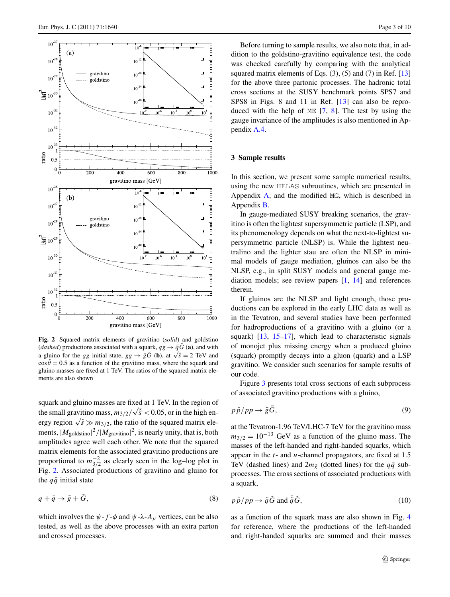

<span id="page-2-1"></span>**Fig. 2** Squared matrix elements of gravitino (*solid*) and goldstino (*dashed*) productions associated with a squark,  $qg \rightarrow \tilde{q}G$  (a), and with a gluino for the *gg* initial state,  $gg \rightarrow \tilde{g}\tilde{G}$  (**b**), at  $\sqrt{\tilde{s}} = 2$  TeV and a gluino for the *gg* initial state,  $gg \rightarrow \tilde{g}\tilde{G}$  (**b**), at  $\sqrt{\tilde{s}} = 2$  TeV and  $\cos \hat{\theta} = 0.5$  as a function of the gravitino mass, where the squark and gluino masses are fixed at 1 TeV. The ratios of the squared matrix elements are also shown

squark and gluino masses are fixed at 1 TeV. In the region of the small gravitino mass,  $m_{3/2}/\sqrt{s} < 0.05$ , or in the high energy region  $\sqrt{\hat{s}} \gg m_{3/2}$ , the ratio of the squared matrix elements,  $|M_{\text{goldstino}}|^2 / |M_{\text{gravitino}}|^2$ , is nearly unity, that is, both amplitudes agree well each other. We note that the squared matrix elements for the associated gravitino productions are proportional to  $m_{3/2}^{-2}$  as clearly seen in the log–log plot in Fig. [2](#page-2-1). Associated productions of gravitino and gluino for the  $q\bar{q}$  initial state

$$
q + \bar{q} \to \tilde{g} + \tilde{G},\tag{8}
$$

which involves the  $\psi$ -*f*- $\phi$  and  $\psi$ - $\lambda$ - $A_\mu$  vertices, can be also tested, as well as the above processes with an extra parton and crossed processes.

<span id="page-2-0"></span>Before turning to sample results, we also note that, in addition to the goldstino-gravitino equivalence test, the code was checked carefully by comparing with the analytical squared matrix elements of Eqs.  $(3)$ ,  $(5)$  and  $(7)$  in Ref.  $[13]$  $[13]$ for the above three partonic processes. The hadronic total cross sections at the SUSY benchmark points SPS7 and SPS8 in Figs. 8 and 11 in Ref. [[13\]](#page-9-5) can also be reproduced with the help of ME  $[7, 8]$  $[7, 8]$  $[7, 8]$  $[7, 8]$ . The test by using the gauge invariance of the amplitudes is also mentioned in Appendix [A.4](#page-8-7).

#### **3 Sample results**

In this section, we present some sample numerical results, using the new HELAS subroutines, which are presented in Appendix [A](#page-4-1), and the modified MG, which is described in Appendix [B](#page-8-6).

In gauge-mediated SUSY breaking scenarios, the gravitino is often the lightest supersymmetric particle (LSP), and its phenomenology depends on what the next-to-lightest supersymmetric particle (NLSP) is. While the lightest neutralino and the lighter stau are often the NLSP in minimal models of gauge mediation, gluinos can also be the NLSP, e.g., in split SUSY models and general gauge mediation models; see review papers [\[1](#page-8-0), [14\]](#page-9-7) and references therein.

If gluinos are the NLSP and light enough, those productions can be explored in the early LHC data as well as in the Tevatron, and several studies have been performed for hadroproductions of a gravitino with a gluino (or a squark) [[13,](#page-9-5) [15–](#page-9-8)[17\]](#page-9-9), which lead to characteristic signals of monojet plus missing energy when a produced gluino (squark) promptly decays into a gluon (quark) and a LSP gravitino. We consider such scenarios for sample results of our code.

Figure [3](#page-3-0) presents total cross sections of each subprocess of associated gravitino productions with a gluino,

$$
p\bar{p}/pp \to \tilde{g}\tilde{G},\tag{9}
$$

at the Tevatron-1.96 TeV/LHC-7 TeV for the gravitino mass  $m_{3/2} = 10^{-13}$  GeV as a function of the gluino mass. The masses of the left-handed and right-handed squarks, which appear in the *t*- and *u*-channel propagators, are fixed at 1.5 TeV (dashed lines) and  $2m_{\tilde{g}}$  (dotted lines) for the  $q\bar{q}$  subprocesses. The cross sections of associated productions with a squark,

$$
p\,\bar{p}/\,pp \to \tilde{q}\,\tilde{G} \text{ and } \bar{\tilde{q}}\,\tilde{G},\tag{10}
$$

as a function of the squark mass are also shown in Fig. [4](#page-3-1) for reference, where the productions of the left-handed and right-handed squarks are summed and their masses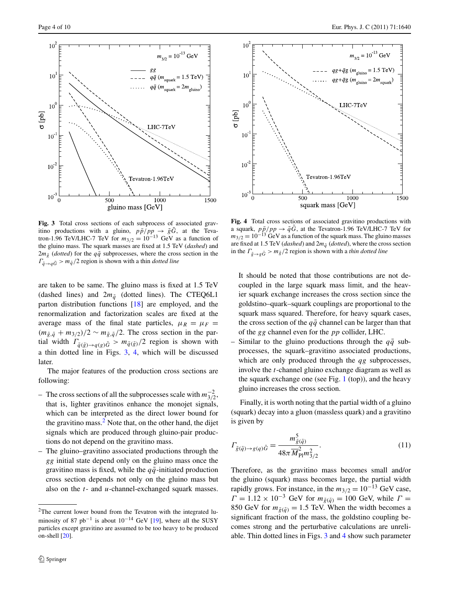

<span id="page-3-0"></span>**Fig. 3** Total cross sections of each subprocess of associated gravitino productions with a gluino,  $p\bar{p}/pp \rightarrow \tilde{g}\tilde{G}$ , at the Tevatron-1.96 TeV/LHC-7 TeV for  $m_{3/2} = 10^{-13}$  GeV as a function of the gluino mass. The squark masses are fixed at 1.5 TeV (*dashed*) and  $2m_{\tilde{g}}$  (*dotted*) for the  $q\bar{q}$  subprocesses, where the cross section in the  $\Gamma_{\tilde{q}\to q\tilde{G}} > m_{\tilde{q}}/2$  region is shown with a thin *dotted line* 

are taken to be same. The gluino mass is fixed at 1.5 TeV (dashed lines) and  $2m_{\tilde{q}}$  (dotted lines). The CTEQ6L1 parton distribution functions [\[18](#page-9-10)] are employed, and the renormalization and factorization scales are fixed at the average mass of the final state particles,  $\mu_R = \mu_F =$  $(m_{\tilde{g}, \tilde{q}} + m_{3/2})/2 \sim m_{\tilde{g}, \tilde{q}}/2$ . The cross section in the partial width  $\Gamma_{\tilde{q}(\tilde{g}) \to q(g) \tilde{G}} > m_{\tilde{q}(\tilde{g})}/2$  region is shown with a thin dotted line in Figs. [3](#page-3-0), [4](#page-3-1), which will be discussed later.

The major features of the production cross sections are following:

- The cross sections of all the subprocesses scale with *m*−<sup>2</sup> <sup>3</sup>*/*2, that is, lighter gravitinos enhance the monojet signals, which can be interpreted as the direct lower bound for the gravitino mass.<sup>[2](#page-3-2)</sup> Note that, on the other hand, the dijet signals which are produced through gluino-pair productions do not depend on the gravitino mass.
- <span id="page-3-2"></span>– The gluino–gravitino associated productions through the *gg* initial state depend only on the gluino mass once the gravitino mass is fixed, while the  $q\bar{q}$ -initiated production cross section depends not only on the gluino mass but also on the *t*- and *u*-channel-exchanged squark masses.



<span id="page-3-1"></span>**Fig. 4** Total cross sections of associated gravitino productions with a squark,  $p\bar{p}/pp \rightarrow \tilde{q}\tilde{G}$ , at the Tevatron-1.96 TeV/LHC-7 TeV for  $m_{3/2} = 10^{-13}$  GeV as a function of the squark mass. The gluino masses are fixed at 1.5 TeV (*dashed*) and  $2m_{\tilde{a}}$  (*dotted*), where the cross section in the  $\Gamma_{\tilde{\sigma}\to\rho\tilde{G}} > m_{\tilde{g}}/2$  region is shown with a *thin dotted line* 

It should be noted that those contributions are not decoupled in the large squark mass limit, and the heavier squark exchange increases the cross section since the goldstino–quark–squark couplings are proportional to the squark mass squared. Therefore, for heavy squark cases, the cross section of the  $q\bar{q}$  channel can be larger than that of the *gg* channel even for the *pp* collider, LHC.

Similar to the gluino productions through the  $q\bar{q}$  subprocesses, the squark–gravitino associated productions, which are only produced through the *qg* subprocesses, involve the *t*-channel gluino exchange diagram as well as the squark exchange one (see Fig.  $1$  (top)), and the heavy gluino increases the cross section.

Finally, it is worth noting that the partial width of a gluino (squark) decay into a gluon (massless quark) and a gravitino is given by

$$
\Gamma_{\tilde{g}(\tilde{q}) \to g(q)\tilde{G}} = \frac{m_{\tilde{g}(\tilde{q})}^5}{48\pi \overline{M}_{\text{Pl}}^2 m_{3/2}^2}.
$$
\n(11)

Therefore, as the gravitino mass becomes small and/or the gluino (squark) mass becomes large, the partial width rapidly grows. For instance, in the  $m_{3/2} = 10^{-13}$  GeV case,  $\Gamma = 1.12 \times 10^{-3}$  GeV for  $m_{\tilde{g}(\tilde{q})} = 100$  GeV, while  $\Gamma =$ 850 GeV for  $m_{\tilde{g}(\tilde{q})} = 1.5$  TeV. When the width becomes a significant fraction of the mass, the goldstino coupling becomes strong and the perturbative calculations are unreliable. Thin dotted lines in Figs. [3](#page-3-0) and [4](#page-3-1) show such parameter

<sup>&</sup>lt;sup>2</sup>The current lower bound from the Tevatron with the integrated luminosity of 87 pb<sup>-1</sup> is about  $10^{-14}$  GeV [\[19](#page-9-11)], where all the SUSY particles except gravitino are assumed to be too heavy to be produced on-shell [\[20\]](#page-9-12).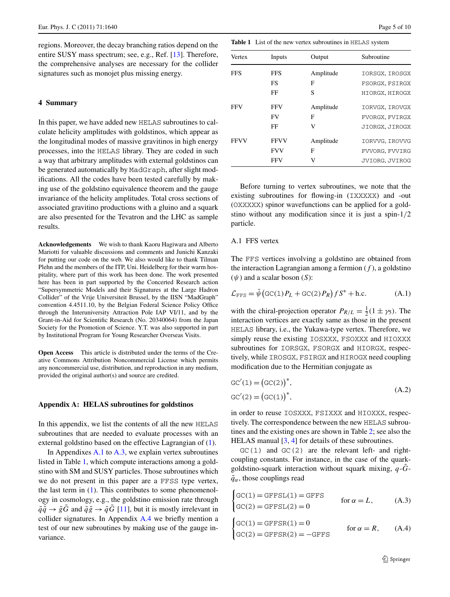<span id="page-4-0"></span>regions. Moreover, the decay branching ratios depend on the entire SUSY mass spectrum; see, e.g., Ref. [[13\]](#page-9-5). Therefore, the comprehensive analyses are necessary for the collider signatures such as monojet plus missing energy.

#### **4 Summary**

In this paper, we have added new HELAS subroutines to calculate helicity amplitudes with goldstinos, which appear as the longitudinal modes of massive gravitinos in high energy processes, into the HELAS library. They are coded in such a way that arbitrary amplitudes with external goldstinos can be generated automatically by MadGraph, after slight modifications. All the codes have been tested carefully by making use of the goldstino equivalence theorem and the gauge invariance of the helicity amplitudes. Total cross sections of associated gravitino productions with a gluino and a squark are also presented for the Tevatron and the LHC as sample results.

**Acknowledgements** We wish to thank Kaoru Hagiwara and Alberto Mariotti for valuable discussions and comments and Junichi Kanzaki for putting our code on the web. We also would like to thank Tilman Plehn and the members of the ITP, Uni. Heidelberg for their warm hospitality, where part of this work has been done. The work presented here has been in part supported by the Concerted Research action "Supersymmetric Models and their Signatures at the Large Hadron Collider" of the Vrije Universiteit Brussel, by the IISN "MadGraph" convention 4.4511.10, by the Belgian Federal Science Policy Office through the Interuniversity Attraction Pole IAP VI/11, and by the Grant-in-Aid for Scientific Research (No. 20340064) from the Japan Society for the Promotion of Science. Y.T. was also supported in part by Institutional Program for Young Researcher Overseas Visits.

<span id="page-4-1"></span>**Open Access** This article is distributed under the terms of the Creative Commons Attribution Noncommercial License which permits any noncommercial use, distribution, and reproduction in any medium, provided the original author(s) and source are credited.

#### **Appendix A: HELAS subroutines for goldstinos**

In this appendix, we list the contents of all the new HELAS subroutines that are needed to evaluate processes with an external goldstino based on the effective Lagrangian of ([1\)](#page-0-5).

In Appendixes  $A.1$  to  $A.3$ , we explain vertex subroutines listed in Table [1](#page-4-3), which compute interactions among a goldstino with SM and SUSY particles. Those subroutines which we do not present in this paper are a FFSS type vertex, the last term in ([1\)](#page-0-5). This contributes to some phenomenology in cosmology, e.g., the goldstino emission rate through  $\tilde{q}\bar{\tilde{q}} \rightarrow \tilde{g}\tilde{G}$  and  $\tilde{q}\tilde{g} \rightarrow \tilde{q}\tilde{G}$  [[11](#page-9-4)], but it is mostly irrelevant in collider signatures. In Appendix [A.4](#page-8-7) we briefly mention a test of our new subroutines by making use of the gauge invariance.

<span id="page-4-3"></span>**Table 1** List of the new vertex subroutines in HELAS system

| Vertex      | Inputs                  | Output    | Subroutine     |
|-------------|-------------------------|-----------|----------------|
| <b>FFS</b>  | <b>FFS</b><br>Amplitude |           | IORSGX, IROSGX |
|             | FS                      | F         | FSORGX, FSIRGX |
|             | FF                      | S         | HIORGX, HIROGX |
| <b>FFV</b>  | <b>FFV</b>              | Amplitude | IORVGX, IROVGX |
|             | FV                      | F         | FVORGX, FVIRGX |
|             | FF                      | V         | JIORGX, JIROGX |
| <b>FFVV</b> | <b>FFVV</b>             | Amplitude | IORVVG, IROVVG |
|             | <b>FVV</b>              | F         | FVVORG, FVVIRG |
|             | FFV                     | v         | JVIORG, JVIROG |

<span id="page-4-2"></span>Before turning to vertex subroutines, we note that the existing subroutines for flowing-in (IXXXXX) and -out (OXXXXX) spinor wavefunctions can be applied for a goldstino without any modification since it is just a spin-1*/*2 particle.

#### A.1 FFS vertex

The FFS vertices involving a goldstino are obtained from the interaction Lagrangian among a fermion (*f* ), a goldstino (*ψ*) and a scalar boson (*S*):

$$
\mathcal{L}_{\text{FFS}} = \bar{\psi} \left( \text{GC}(1) P_L + \text{GC}(2) P_R \right) f S^* + \text{h.c.} \tag{A.1}
$$

<span id="page-4-4"></span>with the chiral-projection operator  $P_{R/L} = \frac{1}{2}(1 \pm \gamma_5)$ . The interaction vertices are exactly same as those in the present HELAS library, i.e., the Yukawa-type vertex. Therefore, we simply reuse the existing IOSXXX, FSOXXX and HIOXXX subroutines for IORSGX, FSORGX and HIORGX, respectively, while IROSGX, FSIRGX and HIROGX need coupling modification due to the Hermitian conjugate as

$$
GC'(1) = (GC(2))^{*},
$$
  
\n
$$
GC'(2) = (GC(1))^{*},
$$
\n(A.2)

in order to reuse IOSXXX, FSIXXX and HIOXXX, respectively. The correspondence between the new HELAS subroutines and the existing ones are shown in Table [2;](#page-5-0) see also the HELAS manual [[3,](#page-8-2) [4\]](#page-8-3) for details of these subroutines.

 $GC(1)$  and  $GC(2)$  are the relevant left- and rightcoupling constants. For instance, in the case of the quarkgoldstino-squark interaction without squark mixing,  $q$ -*G*- $\tilde{q}_{\alpha}$ , those couplings read

$$
\begin{cases} \text{GC}(1) = \text{GFFSL}(1) = \text{GFFS} \\ \text{GC}(2) = \text{GFFSL}(2) = 0 \end{cases} \quad \text{for } \alpha = L, \quad (A.3)
$$

$$
\begin{cases} \text{GC}(1) = \text{GFFSR}(1) = 0 \\ \text{GC}(2) = \text{GFFSR}(2) = -\text{GFFS} \end{cases} \quad \text{for } \alpha = R, \quad (A.4)
$$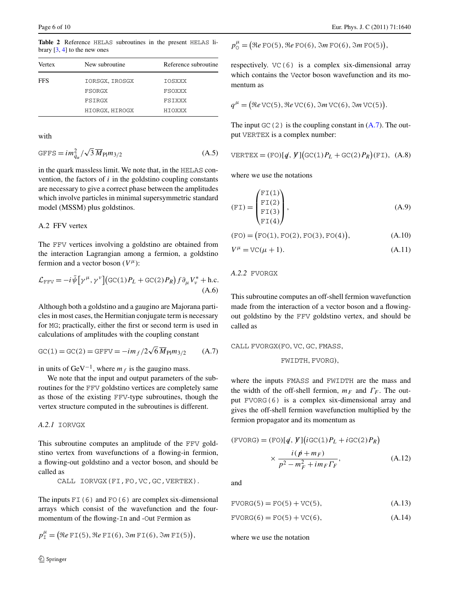<span id="page-5-0"></span>**Table 2** Reference HELAS subroutines in the present HELAS library  $[3, 4]$  $[3, 4]$  $[3, 4]$  $[3, 4]$  $[3, 4]$  to the new ones

| Vertex     | New subroutine. | Reference subroutine |  |
|------------|-----------------|----------------------|--|
| <b>FFS</b> | IORSGX, IROSGX  | IOSXXX               |  |
|            | FSORGX          | FSOXXX               |  |
|            | FSIRGX          | FSIXXX               |  |
|            | HIORGX, HIROGX  | <b>HIOXXX</b>        |  |

with

$$
GFFS = im_{\tilde{q}_{\alpha}}^2 / \sqrt{3} \, \overline{M}_{\text{Pl}} m_{3/2}
$$
 (A.5)

in the quark massless limit. We note that, in the HELAS convention, the factors of *i* in the goldstino coupling constants are necessary to give a correct phase between the amplitudes which involve particles in minimal supersymmetric standard model (MSSM) plus goldstinos.

# A.2 FFV vertex

The FFV vertices involving a goldstino are obtained from the interaction Lagrangian among a fermion, a goldstino fermion and a vector boson  $(V^{\mu})$ :

$$
\mathcal{L}_{\text{FFV}} = -i\bar{\psi} \left[ \gamma^{\mu}, \gamma^{\nu} \right] \left( \text{GC}(1) P_L + \text{GC}(2) P_R \right) f \partial_{\mu} V_{\nu}^* + \text{h.c.} \tag{A.6}
$$

Although both a goldstino and a gaugino are Majorana particles in most cases, the Hermitian conjugate term is necessary for MG; practically, either the first or second term is used in calculations of amplitudes with the coupling constant

$$
GC(1) = GC(2) = GFFV = -im_f/2\sqrt{6} \, \overline{M}_{\text{Pl}} m_{3/2}
$$
 (A.7)

in units of GeV<sup>-1</sup>, where  $m_f$  is the gaugino mass.

We note that the input and output parameters of the subroutines for the FFV goldstino vertices are completely same as those of the existing FFV-type subroutines, though the vertex structure computed in the subroutines is different.

# *A.2.1* IORVGX

This subroutine computes an amplitude of the FFV goldstino vertex from wavefunctions of a flowing-in fermion, a flowing-out goldstino and a vector boson, and should be called as

CALL IORVGX(FI,FO,VC,GC,VERTEX).

The inputs  $FT(6)$  and  $FO(6)$  are complex six-dimensional arrays which consist of the wavefunction and the fourmomentum of the flowing-In and -Out Fermion as

$$
p_{\mathbb{I}}^{\mu} = (\mathfrak{Re}\,\mathbb{F}\mathbb{I}(5), \mathfrak{Re}\,\mathbb{F}\mathbb{I}(6), \mathfrak{Im}\,\mathbb{F}\mathbb{I}(6), \mathfrak{Im}\,\mathbb{F}\mathbb{I}(5)),
$$

$$
p_0^{\mu} = (\mathfrak{Re}\,\text{FO}(5), \mathfrak{Re}\,\text{FO}(6), \mathfrak{Im}\,\text{FO}(6), \mathfrak{Im}\,\text{FO}(5)),
$$

respectively. VC(6) is a complex six-dimensional array which contains the Vector boson wavefunction and its momentum as

$$
q^{\mu} = (\mathfrak{Re}\,\mathrm{VC}(5), \mathfrak{Re}\,\mathrm{VC}(6), \mathfrak{Im}\,\mathrm{VC}(6), \mathfrak{Im}\,\mathrm{VC}(5)).
$$

The input GC(2) is the coupling constant in  $(A.7)$  $(A.7)$  $(A.7)$ . The output VERTEX is a complex number:

$$
VERTEX = (FO)[q, V](GC(1)PL + GC(2)PR)(FI), (A.8)
$$

where we use the notations

$$
(\text{FI}) = \begin{pmatrix} \text{FI}(1) \\ \text{FI}(2) \\ \text{FI}(3) \\ \text{FI}(4) \end{pmatrix},
$$
 (A.9)

$$
(F0) = (F0(1), F0(2), F0(3), F0(4)),
$$
 (A.10)

$$
V^{\mu} = \text{VC}(\mu + 1). \tag{A.11}
$$

<span id="page-5-1"></span>*A.2.2* FVORGX

This subroutine computes an off-shell fermion wavefunction made from the interaction of a vector boson and a flowingout goldstino by the FFV goldstino vertex, and should be called as

CALL FVORGX*(*FO*,*VC*,*GC*,*FMASS*,*

FWIDTH*,*FVORG*),*

where the inputs FMASS and FWIDTH are the mass and the width of the off-shell fermion,  $m_F$  and  $\Gamma_F$ . The output FVORG(6) is a complex six-dimensional array and gives the off-shell fermion wavefunction multiplied by the fermion propagator and its momentum as

$$
(\text{FVORG}) = (\text{FO})[q, \mathcal{V}]\left(i\text{GC}(1)P_L + i\text{GC}(2)P_R\right)
$$

$$
\times \frac{i(p + m_F)}{p^2 - m_F^2 + im_F\Gamma_F},\tag{A.12}
$$

and

FVORG*(*5*)* = FO*(*5*)* + VC*(*5*),* (A.13)

$$
FVORG(6) = FO(5) + VC(6), \tag{A.14}
$$

where we use the notation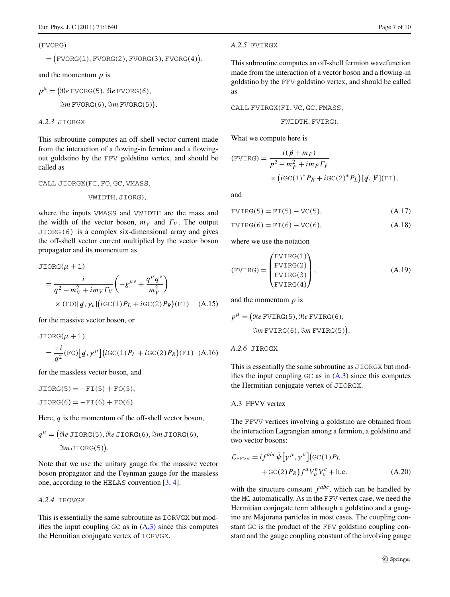#### *(*FVORG*)*

$$
= ( \text{FVORG}(1), \text{FVORG}(2), \text{FVORG}(3), \text{FVORG}(4)),
$$

and the momentum *p* is

 $p^{\mu} =$  ( $\Re e$  FVORG(5),  $\Re e$  FVORG(6), *m*FVORG*(*6*), m*FVORG*(*5*) .*

*A.2.3* JIORGX

This subroutine computes an off-shell vector current made from the interaction of a flowing-in fermion and a flowingout goldstino by the FFV goldstino vertex, and should be called as

### CALL JIORGX*(*FI*,*FO*,*GC*,*VMASS*,*

VWIDTH*,*JIORG*),*

where the inputs VMASS and VWIDTH are the mass and the width of the vector boson,  $m_V$  and  $\Gamma_V$ . The output JIORG(6) is a complex six-dimensional array and gives the off-shell vector current multiplied by the vector boson propagator and its momentum as

JIORG(
$$
\mu
$$
 + 1)  
=  $\frac{i}{q^2 - m_V^2 + im_V \Gamma_V} \left( -g^{\mu\nu} + \frac{q^{\mu} q^{\nu}}{m_V^2} \right)$   
× (FO)[ $q$ ,  $\gamma_V$ ]( $i$ GC(1) $P_L$  +  $i$ GC(2) $P_R$ )(FI) (A.15)

for the massive vector boson, or

JIORG(
$$
\mu
$$
 + 1)  
=  $\frac{-i}{q^2}$ (FO)[ $q$ ,  $\gamma^{\mu}$ ][ $i$ GC(1) $P_L$  +  $i$ GC(2) $P_R$ )(FI) (A.16)

for the massless vector boson, and

 $JIORG(5) = -FI(5) + FO(5),$  $JIORG(6) = -FI(6) + FO(6)$ .

Here, *q* is the momentum of the off-shell vector boson,

$$
q^{\mu} = (\text{Re JIORG}(5), \text{Re JIORG}(6), \text{Im JIORG}(6),
$$
  
Im JIORG(5)).

Note that we use the unitary gauge for the massive vector boson propagator and the Feynman gauge for the massless one, according to the HELAS convention [[3,](#page-8-2) [4\]](#page-8-3).

*A.2.4* IROVGX

This is essentially the same subroutine as IORVGX but modifies the input coupling  $GC$  as in  $(A.3)$  $(A.3)$  since this computes the Hermitian conjugate vertex of IORVGX.

#### *A.2.5* FVIRGX

This subroutine computes an off-shell fermion wavefunction made from the interaction of a vector boson and a flowing-in goldstino by the FFV goldstino vertex, and should be called as

CALL FVIRGX*(*FI*,*VC*,*GC*,*FMASS*,*

FWIDTH*,*FVIRG*).*

What we compute here is

$$
\begin{aligned} \text{(FVIRG)} &= \frac{i(\not p + m_F)}{p^2 - m_F^2 + im_F\varGamma_F} \\ &\times \big( i \text{GC}(1)^* P_R + i \text{GC}(2)^* P_L \big) [q, \not\text{V}](\text{FI}), \end{aligned}
$$

and

$$
FVIRG(5) = FI(5) - VC(5), \tag{A.17}
$$

$$
FVIRG(6) = FI(6) - VC(6), \tag{A.18}
$$

where we use the notation

$$
(\text{FVIRG}) = \begin{pmatrix} \text{FVIRG}(1) \\ \text{FVIRG}(2) \\ \text{FVIRG}(3) \\ \text{FVIRG}(4) \end{pmatrix},
$$
 (A.19)

and the momentum *p* is

$$
p^{\mu} = (\text{Re FVIRG}(5), \text{Re FVIRG}(6),
$$
  
Im FVIRG(6),  $\text{Im FVIRG}(5)$ ).

<span id="page-6-0"></span>*A.2.6* JIROGX

This is essentially the same subroutine as JIORGX but modifies the input coupling  $GC$  as in  $(A.3)$  $(A.3)$  since this computes the Hermitian conjugate vertex of JIORGX.

# A.3 FFVV vertex

The FFVV vertices involving a goldstino are obtained from the interaction Lagrangian among a fermion, a goldstino and two vector bosons:

$$
\mathcal{L}_{\text{FFVV}} = i f^{abc} \bar{\psi} [\gamma^{\mu}, \gamma^{\nu}] (\text{GC}(1) P_L + \text{GC}(2) P_R) f^a V_{\mu}^b V_{\nu}^c + \text{h.c.}
$$
 (A.20)

with the structure constant  $f^{abc}$ , which can be handled by the MG automatically. As in the FFV vertex case, we need the Hermitian conjugate term although a goldstino and a gaugino are Majorana particles in most cases. The coupling constant GC is the product of the FFV goldstino coupling constant and the gauge coupling constant of the involving gauge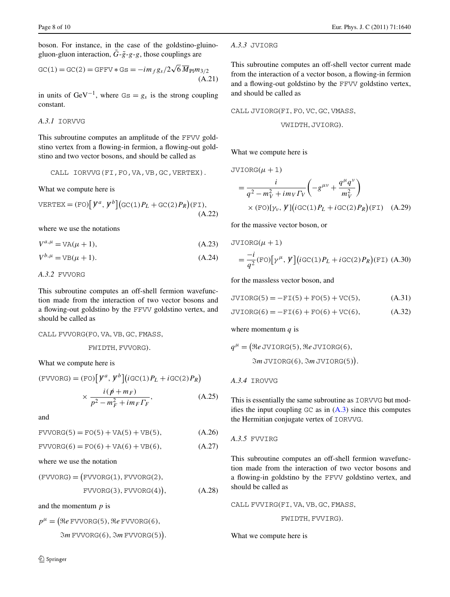boson. For instance, in the case of the goldstino-gluinogluon-gluon interaction,  $\tilde{G} - \tilde{g} - g - g$ , those couplings are

$$
GC(1) = GC(2) = GFFV * Gs = -im_f g_s/2\sqrt{6} \overline{M}_{\text{Pl}} m_{3/2}
$$
\n(A.21)

in units of GeV<sup>-1</sup>, where  $Gs = g_s$  is the strong coupling constant.

## *A.3.1* IORVVG

This subroutine computes an amplitude of the FFVV goldstino vertex from a flowing-in fermion, a flowing-out goldstino and two vector bosons, and should be called as

CALL IORVVG(FI,FO,VA,VB,GC,VERTEX).

What we compute here is

$$
\text{VERTEX} = (\text{FO}) \big[ \mathcal{Y}^a, \mathcal{Y}^b \big] (\text{GC}(1) P_L + \text{GC}(2) P_R)(\text{FI}),
$$
\n(A.22)

where we use the notations

$$
V^{a,\mu} = \text{VA}(\mu + 1),
$$
\n
$$
V^{b,\mu} = \text{VB}(\mu + 1).
$$
\n(A.23)\n(A.24)

*A.3.2* FVVORG

This subroutine computes an off-shell fermion wavefunction made from the interaction of two vector bosons and a flowing-out goldstino by the FFVV goldstino vertex, and should be called as

## CALL FVVORG*(*FO*,*VA*,*VB*,*GC*,*FMASS*,*

FWIDTH*,*FVVORG*).*

What we compute here is

$$
(\text{FVVORG}) = (\text{FO}) \left[ \mathcal{V}^a, \mathcal{V}^b \right] (i \text{GC}(1) P_L + i \text{GC}(2) P_R)
$$

$$
\times \frac{i(\mathcal{P} + m_F)}{p^2 - m_F^2 + i m_F \Gamma_F}, \tag{A.25}
$$

and

$$
FVVORG(5) = FO(5) + VA(5) + VB(5), \tag{A.26}
$$

$$
FVVORG(6) = FO(6) + VA(6) + VB(6), \tag{A.27}
$$

where we use the notation

$$
(\text{FVVORG}) = (\text{FVVORG}(1), \text{FVVORG}(2),
$$
  
\n
$$
\text{FVVORG}(3), \text{FVVORG}(4)),
$$
 (A.28)

and the momentum *p* is

$$
p^{\mu} = (\text{Re FVVORG}(5), \text{Re FVVORG}(6),
$$
  
Im FVVORG(6),  $\text{Im FVVORG}(5)$ ).

*A.3.3* JVIORG

This subroutine computes an off-shell vector current made from the interaction of a vector boson, a flowing-in fermion and a flowing-out goldstino by the FFVV goldstino vertex, and should be called as

CALL JVIORG*(*FI*,*FO*,*VC*,*GC*,*VMASS*,*

VWIDTH*,*JVIORG*).*

What we compute here is

JVIORG(
$$
\mu
$$
 + 1)  
\n
$$
= \frac{i}{q^2 - m_V^2 + im_V \Gamma_V} \left( -g^{\mu\nu} + \frac{q^{\mu}q^{\nu}}{m_V^2} \right)
$$
\n
$$
\times \text{(FO)[\gamma_{\nu}, \mathcal{Y}](i \text{GC}(1) P_L + i \text{GC}(2) P_R)(\text{FI})} \quad \text{(A.29)}
$$

for the massive vector boson, or

$$
JVIORG(\mu + 1)
$$
  
=  $\frac{-i}{q^2}$ (FO)[ $\gamma^{\mu}$ ,  $\hat{V}$ ](iGC(1) $P_L$  + iGC(2) $P_R$ )(FI) (A.30)

for the massless vector boson, and

|  | $JVIORG(5) = -FI(5) + FO(5) + VC(5),$ |  | (A.31) |
|--|---------------------------------------|--|--------|
|--|---------------------------------------|--|--------|

$$
JVIORG(6) = -FI(6) + FO(6) + VC(6), \tag{A.32}
$$

where momentum  $q$  is

$$
q^{\mu} = (\text{Re JVIORG}(5), \text{Re JVIORG}(6),
$$
  
Im JVIORG(6), \text{Im JVIORG}(5)).

### *A.3.4* IROVVG

This is essentially the same subroutine as IORVVG but modifies the input coupling  $GC$  as in  $(A.3)$  $(A.3)$  since this computes the Hermitian conjugate vertex of IORVVG.

*A.3.5* FVVIRG

This subroutine computes an off-shell fermion wavefunction made from the interaction of two vector bosons and a flowing-in goldstino by the FFVV goldstino vertex, and should be called as

CALL FVVIRG*(*FI*,*VA*,*VB*,*GC*,*FMASS*,*

FWIDTH*,*FVVIRG*).*

What we compute here is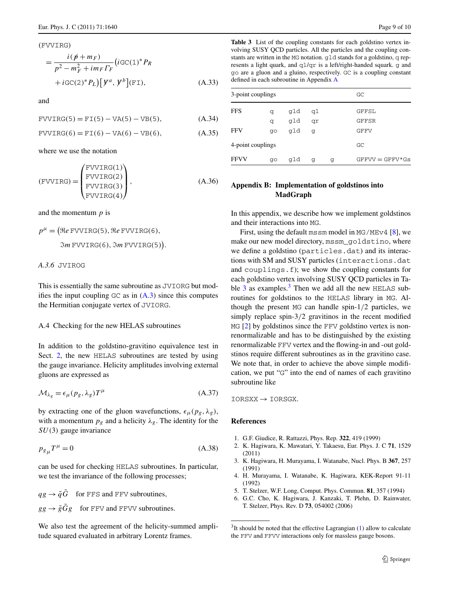*(*FVVIRG*)*  $=\frac{i(p+m_F)}{2m_F}$  $p^2 - m_F^2 + i m_F \Gamma_F$  $(i$ GC $(1)$ <sup>\*</sup> $P_R$  $+i$ GC $(2)^*P_L$  $\left[ \n\begin{bmatrix} \n\end{bmatrix} \right]$   $\left[ \n\begin{bmatrix} \n\end{bmatrix}^a, \n\begin{bmatrix} \n\end{bmatrix}^b \right]$ *(*FI*),* (A.33)

and

$$
FVVIRG(5) = FI(5) - VA(5) - VB(5),
$$
 (A.34)

$$
FVVIRG(6) = FI(6) - VA(6) - VB(6),
$$
 (A.35)

where we use the notation

$$
(\text{FVVIRG}) = \begin{pmatrix} \text{FVVIRG}(1) \\ \text{FVVIRG}(2) \\ \text{FVVIRG}(3) \\ \text{FVVIRG}(4) \end{pmatrix},
$$
 (A.36)

and the momentum *p* is

$$
p^{\mu} = (\text{Re FVVIRG}(5), \text{Re FVVIRG}(6),
$$
  
Im FVVIRG(6),  $\text{Im FVVIRG}(5)$ ).

#### <span id="page-8-7"></span>*A.3.6* JVIROG

This is essentially the same subroutine as JVIORG but modifies the input coupling  $GC$  as in  $(A.3)$  $(A.3)$  since this computes the Hermitian conjugate vertex of JVIORG.

#### A.4 Checking for the new HELAS subroutines

In addition to the goldstino-gravitino equivalence test in Sect. [2,](#page-1-0) the new HELAS subroutines are tested by using the gauge invariance. Helicity amplitudes involving external gluons are expressed as

$$
\mathcal{M}_{\lambda_g} = \epsilon_{\mu}(p_g, \lambda_g) T^{\mu} \tag{A.37}
$$

by extracting one of the gluon wavefunctions,  $\epsilon_{\mu}(p_g, \lambda_g)$ , with a momentum  $p_g$  and a helicity  $\lambda_g$ . The identity for the *SU(*3*)* gauge invariance

$$
p_{g\mu}T^{\mu} = 0 \tag{A.38}
$$

can be used for checking HELAS subroutines. In particular, we test the invariance of the following processes;

 $qg \rightarrow \tilde{q}\tilde{G}$  for FFS and FFV subroutines,  $gg \rightarrow \tilde{g}\tilde{G}g$  for FFV and FFVV subroutines.

We also test the agreement of the helicity-summed amplitude squared evaluated in arbitrary Lorentz frames.

<span id="page-8-8"></span>**Table 3** List of the coupling constants for each goldstino vertex involving SUSY QCD particles. All the particles and the coupling constants are written in the MG notation. gld stands for a goldstino, q represents a light quark, and ql/qr is a left/right-handed squark. g and go are a gluon and a gluino, respectively. GC is a coupling constant defined in each subroutine in Appendix [A](#page-4-1)

<span id="page-8-6"></span>

| 3-point couplings |    |     |    |   | GC                |
|-------------------|----|-----|----|---|-------------------|
| <b>FFS</b>        | q  | gld | qŢ |   | GFFSL             |
|                   | đ  | gld | qr |   | GFFSR             |
| <b>FFV</b>        | qo | gld | q  |   | GFFV              |
| 4-point couplings |    |     |    |   | GC                |
| <b>FFVV</b>       | qo | gld | q  | g | $GFFVV = GFFV*Gs$ |

# **Appendix B: Implementation of goldstinos into MadGraph**

In this appendix, we describe how we implement goldstinos and their interactions into MG.

First, using the default mssm model in MG/MEv4 [\[8](#page-9-0)], we make our new model directory, mssm\_goldstino, where we define a goldstino (particles.dat) and its interactions with SM and SUSY particles (interactions.dat and couplings.f); we show the coupling constants for each goldstino vertex involving SUSY QCD particles in Table  $3$  as examples. $3$  Then we add all the new HELAS subroutines for goldstinos to the HELAS library in MG. Although the present MG can handle spin-1*/*2 particles, we simply replace spin-3*/*2 gravitinos in the recent modified MG [[2\]](#page-8-1) by goldstinos since the FFV goldstino vertex is nonrenormalizable and has to be distinguished by the existing renormalizable FFV vertex and the flowing-in and -out goldstinos require different subroutines as in the gravitino case. We note that, in order to achieve the above simple modification, we put "G" into the end of names of each gravitino subroutine like

<span id="page-8-3"></span><span id="page-8-2"></span><span id="page-8-1"></span><span id="page-8-0"></span>IORSXX → IORSGX*.*

## <span id="page-8-5"></span><span id="page-8-4"></span>**References**

- 1. G.F. Giudice, R. Rattazzi, Phys. Rep. **322**, 419 (1999)
- 2. K. Hagiwara, K. Mawatari, Y. Takaesu, Eur. Phys. J. C **71**, 1529 (2011)
- <span id="page-8-9"></span>3. K. Hagiwara, H. Murayama, I. Watanabe, Nucl. Phys. B **367**, 257 (1991)
- 4. H. Murayama, I. Watanabe, K. Hagiwara, KEK-Report 91-11 (1992)
- 5. T. Stelzer, W.F. Long, Comput. Phys. Commun. **81**, 357 (1994)
- 6. G.C. Cho, K. Hagiwara, J. Kanzaki, T. Plehn, D. Rainwater, T. Stelzer, Phys. Rev. D **73**, 054002 (2006)

<sup>&</sup>lt;sup>3</sup>It should be noted that the effective Lagrangian [\(1](#page-0-5)) allow to calculate the FFV and FFVV interactions only for massless gauge bosons.